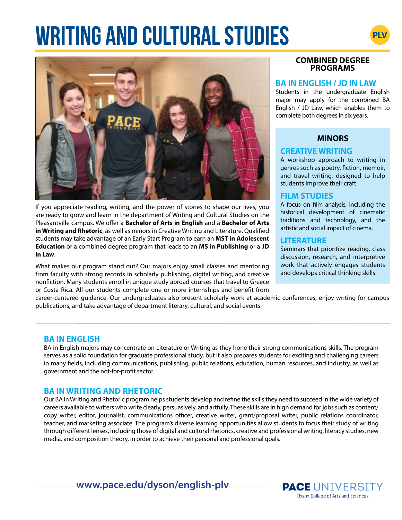# **WRITING AND CULTURAL STUDIES**



If you appreciate reading, writing, and the power of stories to shape our lives, you are ready to grow and learn in the department of Writing and Cultural Studies on the Pleasantville campus. We offer a **Bachelor of Arts in English** and a **Bachelor of Arts in Writing and Rhetoric**, as well as minors in Creative Writing and Literature. Qualified students may take advantage of an Early Start Program to earn an **MST in Adolescent Education** or a combined degree program that leads to an **MS in Publishing** or a **JD in Law**.

What makes our program stand out? Our majors enjoy small classes and mentoring from faculty with strong records in scholarly publishing, digital writing, and creative nonfiction. Many students enroll in unique study abroad courses that travel to Greece or Costa Rica. All our students complete one or more internships and benefit from

# **COMBINED DEGREE PROGRAMS**

### **BA IN ENGLISH / JD IN LAW**

Students in the undergraduate English major may apply for the combined BA English / JD Law, which enables them to complete both degrees in six years.

# **MINORS**

# **CREATIVE WRITING**

A workshop approach to writing in genres such as poetry, fiction, memoir, and travel writing, designed to help students improve their craft.

## **FILM STUDIES**

A focus on film analysis, including the historical development of cinematic traditions and technology, and the artistic and social impact of cinema.

## **LITERATURE**

Seminars that prioritize reading, class discussion, research, and interpretive work that actively engages students and develops critical thinking skills.

career-centered guidance. Our undergraduates also present scholarly work at academic conferences, enjoy writing for campus publications, and take advantage of department literary, cultural, and social events.

## **BA IN ENGLISH**

BA in English majors may concentrate on Literature or Writing as they hone their strong communications skills. The program serves as a solid foundation for graduate professional study, but it also prepares students for exciting and challenging careers in many fields, including communications, publishing, public relations, education, human resources, and industry, as well as government and the not-for-profit sector.

# **BA IN WRITING AND RHETORIC**

Our BA in Writing and Rhetoric program helps students develop and refine the skills they need to succeed in the wide variety of careers available to writers who write clearly, persuasively, and artfully. These skills are in high demand for jobs such as content/ copy writer, editor, journalist, communications officer, creative writer, grant/proposal writer, public relations coordinator, teacher, and marketing associate. The program's diverse learning opportunities allow students to focus their study of writing through different lenses, including those of digital and cultural rhetorics, creative and professional writing, literacy studies, new media, and composition theory, in order to achieve their personal and professional goals.

**www.pace.edu/dyson/english-plv**